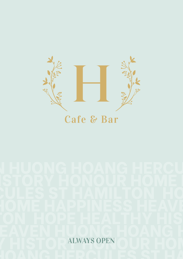

## Cafe & Bar

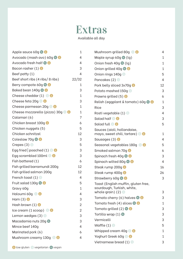## Extras

Available all day

| Apple sauce 60g S                     | 1              |
|---------------------------------------|----------------|
| Avocado (mash avo) 60g S              | 4              |
| Avocado fresh half S                  | 4              |
| Bacon rasher $(1)$ $\bullet$          | 3              |
| Beef patty $(1)$                      | 4              |
| Beef short ribs (4 ribs/8 ribs)       | 22/32          |
| Berry compote 60g S                   | 1              |
| Baked bean 140g                       | 3              |
| Cheese cheddar $(1)$ $\circledcirc$   | $\mathbf{1}$   |
| Cheese feta 20g <sup>1</sup>          | 3              |
| Cheese parmesan 20g & #               | $\mathbf{1}$   |
| Cheese mozzarella (pizza) 30g @ @     | $\mathbf{1}$   |
| Calamari (6)                          | 7              |
| <b>Chicken breast 100g</b>            | 6              |
| Chicken nuggets (5)                   | 5              |
| Chicken schnitzel                     | 12             |
| Coleslaw 70g S                        | 3              |
| Crepes $(3)$                          | 5              |
| Egg fried   poached (1) $\circledast$ | 3              |
| Egg scrambled 100ml                   | 3              |
| Fish battered (1)                     | 6              |
| Fish grilled barramundi 200q          | 12             |
| Fish grilled salmon 200g              | 12             |
| French toast $(1)$ $\circledcirc$     | 4              |
| Fruit salad 130g                      | 5              |
| Gravy 60g                             | 1              |
| Haloumi 60g <sup>1</sup>              | 4              |
| Ham $(3)$ $*$                         | 3              |
| Hash brown $(1)$ $\bullet$            | $\overline{2}$ |
| $lce$ cream $(1$ scoop) $\bullet$     | $\overline{2}$ |
| Lemon wedges $(3)$                    | 3              |
| Macadamia nuts 20g                    | 3              |
| Mince beef 140g                       | 4              |
| Marinated pork (6)                    | 6              |
| Mushroom creamy 130g .                | 4              |

| Mushroom grilled 80g 3                                   | 4              |
|----------------------------------------------------------|----------------|
| Maple syrup 60g $\bullet$ (lg)                           | $\mathbf 1$    |
| Onion fresh $40q \otimes (lq)$                           | $\mathbf 1$    |
| Onion grilled 40g S                                      | $\mathbf 1$    |
| Onion rings 140g .                                       | 5              |
| Pancakes (2) <b>O</b>                                    | 4              |
| Pork belly sliced 3x70q                                  | 12             |
| Potato mashed 150g ©                                     | 3              |
| Prawns grilled $(5)$ $*$                                 | 6              |
| Relish (eggplant & tomato) 60g $\bullet$ $\bullet$       | $\overline{1}$ |
| <b>Rice</b>                                              | 3              |
| Rosti vegetable $(1)$                                    | 4              |
| Salad half © @                                           | 3              |
| Salad full <sup>8</sup>                                  | 5              |
| Sauces (aioli, hollandaise,                              |                |
| mayo, sweet chili, tartare) © 8                          | 1              |
| Sausages (3)                                             | 4              |
| Seasonal vegetables 180g © ®                             | 5              |
| Smoked salmon 70g                                        | 6              |
| Spinach fresh 40g                                        | 3              |
| Spinach wilted 80g                                       | 4              |
| Steak rump 200g                                          | 16             |
| Steak rump 400g                                          | 26             |
| Strawberry 60g &                                         | 3              |
| Toast (English muffin, gluten free,                      |                |
| sourdough, Turkish, white,<br>whole grain) $(2)$ $\circ$ | 3              |
| Tomato cherry (6) halves                                 | 3              |
| Tomato fresh $(4)$ slices $\bullet$                      | 1              |
| Tomato grilled $(2)$ $\bullet$ $\bullet$                 | 3              |
| Tortilla wrap $(1)$ $\circledast$                        | 3              |
| Vermicelli                                               | 3              |
| Waffle $(1)$ $\circledcirc$                              | 5              |
| Whipped cream 40g $\bullet$                              | 1              |
| Yoghurt Greek 60g <sup>1</sup>                           | 1              |
| Vietnamese bread $(1)$ $\bullet$                         | 3              |
|                                                          |                |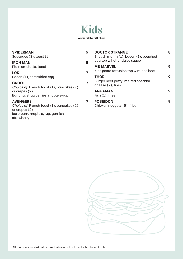## Kids Available all day

| <b>SPIDERMAN</b><br>Sausages (3), toast (1)                                                                                      | 5 | <b>DOCTOR STRANGE</b><br>English muffin (1), bacon (1), poached | 8 |
|----------------------------------------------------------------------------------------------------------------------------------|---|-----------------------------------------------------------------|---|
| <b>IRON MAN</b><br>Plain omelette, toast                                                                                         | 5 | egg top w hollandaise sauce<br><b>MS MARVEL</b>                 | 9 |
| <b>LOKI</b><br>Bacon (1), scrambled egg                                                                                          | 7 | Kids pasta fettucine top w mince beef<br><b>THOR</b>            | 9 |
| <b>GROOT</b><br>Choice of: French toast (1), pancakes (2)                                                                        | 7 | Burger beef patty, melted cheddar<br>cheese (2), fries          |   |
| or crepes $(2)$<br>Banana, strawberries, maple syrup                                                                             |   | <b>AQUAMAN</b><br>Fish $(1)$ , fries                            | 9 |
| <b>AVENGERS</b><br>Choice of: French toast (1), pancakes (2)<br>or crepes $(2)$<br>Ice cream, maple syrup, garnish<br>strawberry | 7 | <b>POSEIDON</b><br>Chicken nuggets (5), fries                   | 9 |

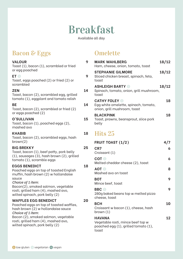## Breakfast

Available all day

## **Bacon & Eggs**

#### **VALOUR 9** Toast (1), bacon (1), scrambled or fried or egg poached **ET 9 9** Toast, eggs poached (2) or fried (2) or scrambled **ZEN 14** Toast, bacon (2), scrambled egg, grilled tomato (1), eggplant and tomato relish **BE 14** Toast, bacon (2), scrambled or fried (2) or eggs poached (2) **O'SULLIVAN 15** Toast, bacon (1), poached eggs (2), mashed avo **KHABIB 18** Toast, bacon (2), scrambled eggs, hash brown(2) **BIG BREKKY 25** Toast, bacon (1), beef patty, pork belly (1), sausages (3), hash brown (2), grilled tomato (1), scramble eggs **EGGS BENEDICT 18** Poached eggs on top of toasted English muffin, hash brown (2) w hollandaise sauce *Choice of 1 item:* Bacon(2), smoked salmon, vegetable rosti, grilled ham (4), mashed avo, wilted spinach, pork belly (2) **WAFFLES EGG BENEDICT 20** Poached eggs on top of toasted waffles, hash brown (2) w hollandaise sauce *Choice of 1 item:* Bacon (2), smoked salmon, vegetable rosti, grilled ham (4), mashed avo, wilted spinach, pork belly (2)

### **Omelette**

| <b>MARK WAHLBERG</b><br>Ham, cheese, onion, tomato, toast                                  | 18/12 |
|--------------------------------------------------------------------------------------------|-------|
| <b>STEPHANIE GILMORE</b><br>Sliced chicken breast, spinach, feta,<br>toast                 | 18/12 |
| <b>ASHLEIGH BARTY ®</b><br>Spinach, tomato, onion, grill mushroom,<br>toast                | 18/12 |
| <b>CATHY FOLEY</b><br>Egg white omelette, spinach, tomato,<br>onion, grill mushroom, toast | 18    |
| <b>BLACKPINK</b><br>Toast, prawns, beansprout, slice pork<br>belly                         | 18    |
| Hits 25                                                                                    |       |

| <b>FRUIT TOAST (1/2)</b>                                                                            | 4/7 |
|-----------------------------------------------------------------------------------------------------|-----|
| CR7<br>Croissant (1)                                                                                | 6   |
| <b>COT</b> ©<br>Melted cheddar cheese (2), toast                                                    | 6   |
| AOT ©<br>Mashed avo on toast                                                                        | 8   |
| <b>BOT</b><br>Mince beef, toast                                                                     | 9   |
| <b>BBC</b> ©<br>280g baked beans top w melted pizza<br>cheese, toast                                | 9   |
| <b>BCH</b><br>Croissant w bacon (1), cheese, hash<br>brown (1)                                      | 10  |
| <b>HAVANA</b><br>Vegetable rosti, mince beef top w<br>poached egg (1), grilled tomato (1),<br>toast | 12  |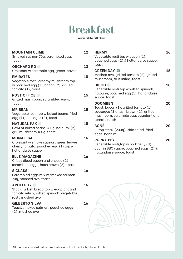## Breakfast

Available all day

| <b>MOUNTAIN CLIMB</b><br>Smoked salmon 70g, scrambled egg,<br>toast                                                           | 12 | <b>HER</b><br>Veg<br>poa          |
|-------------------------------------------------------------------------------------------------------------------------------|----|-----------------------------------|
| <b>ORCHARD RD</b><br>Croissant w scramble egg, green leaves                                                                   | 13 | toas<br><b>GRE</b>                |
| <b>EMIRATES</b><br>Vegetable rosti, creamy mushroom top<br>w poached egg (1), bacon (2), grilled                              | 15 | Mas<br>mus<br><b>DIS</b>          |
| tomato (1), toast<br><b>POST OFFICE ©</b>                                                                                     | 15 | Veg<br>halc                       |
| Grilled mushroom, scrambled eggs,<br>toast                                                                                    |    | sau<br>DO <sub>C</sub>            |
| <b>MR BEAN</b><br>Vegetable rosti top w baked beans, fried<br>egg (1), sausages (3), toast                                    | 15 | Toas<br>saus<br>mus<br>tom        |
| <b>NATURAL PAK ©</b><br>Bowl of baked beans 280g, haloumi (2),<br>grill mushroom 180g, toast                                  | 15 | <b>BON</b><br>Rum<br>egg:         |
| <b>MONA LISA</b><br>Croissant w smoke salmon, green leaves,<br>cherry tomato, poached egg (1) top w<br>hollandaise sauce      | 16 | <b>POR</b><br>Veg<br>cool<br>holl |
| <b>ELLE MAGAZINE</b><br>Crispy diced bacon and cheese (2)<br>scrambled eggs, hash brown (2), toast                            | 16 |                                   |
| <b>S CLASS</b><br>Scrambled eggs mix w smoked salmon<br>70g, mashed avo, toast                                                | 16 |                                   |
| <b>APOLLO 17 ®</b><br>Stack Turkish bread top w eggplant and<br>tomato relish, wilted spinach, vegetable<br>rosti, mashed avo | 16 |                                   |
| <b>GILBERTO SILVA</b><br>Toast, smoked salmon, poached eggs<br>(2), mashed avo                                                | 16 |                                   |
|                                                                                                                               |    |                                   |

| <b>HERMY</b><br>Vegetable rosti top w bacon (1),<br>poached eggs (2) & hollandaise sauce,<br>toast                                                        | 16 |
|-----------------------------------------------------------------------------------------------------------------------------------------------------------|----|
| <b>GREEN DAY ®</b><br>Mashed avo, grilled tomato (2), grilled<br>mushroom, fruit salad, toast                                                             | 16 |
| <b>DISCO</b><br>Vegetable rosti top w wilted spinach,<br>haloumi, poached egg (1), hollandaise<br>sauce, toast                                            | 18 |
| <b>DOOMBEN</b><br>Toast, bacon (1), grilled tomato (1),<br>sausages (3), hash brown (2), grilled<br>mushroom, scramble egg, eggplant and<br>tomato relish | 20 |
| <b>BONÉ</b><br>Rump steak (200g), side salad, fried<br>eggs, banh mi                                                                                      | 20 |
| <b>PORKY PIG</b><br>Vegetable rosti, top w pork belly (3)<br>cook in BBQ sauce, poached eggs (2) &<br>hollandaise sauce, toast                            | 20 |
|                                                                                                                                                           |    |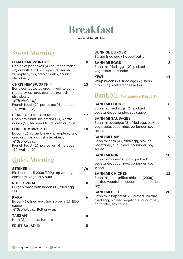## Breakfast

Available all day

### Sweet Morning

#### **LIAM HEMSWORTH 8**

Choice of pancakes (4) or French toast (2) or waffle (1) or crepes (3) served w maple syrup, oreo crumbs, garnish strawberry

#### **CHRIS HEMSWORTH 23**

Berry compote, ice cream, waffle cone, maple syrup, oreo crumbs, garnish strawberry *With choice of:*

French toast (2), pancakes (4), crepes (3), waffle (2)

#### **PEARL OF THE ORIENT © 17**

Open croissant, ice cream (2), waffle cones (2), seasonal fruits, oreo crumbs

#### **LUKE HEMSWORTH 18**

Bacon (2), scramble eggs, maple syrup, oreo crumbs, garnish strawberry *With choice of:* French toast (2), pancakes (4), crepes (3), waffle (2)

## Quick Morning

| <b>STRIKER O</b><br>Bircher muesli 200g/300g top w berry<br>compote, yoghurt & nuts        |   |
|--------------------------------------------------------------------------------------------|---|
| <b>ROLL / WRAP</b><br>Burger/wrap with bacon (1), fried egg<br>(1)                         | 4 |
| KAKÁ<br>Bacon (1), fried egg, hash brown (1), BBQ<br>squce<br>With choice of: Roll or wrap | 6 |
| <b>TARZAN</b><br>Ham (2), cheese, tomato                                                   | 6 |
| <b>FRUIT SALAD ®</b>                                                                       |   |

|   | <b>SUNRISE BURGER</b><br>Burger fried egg (1), beef patty                                                                      | 7  |
|---|--------------------------------------------------------------------------------------------------------------------------------|----|
| } | <b>BANH MI EGGS</b><br>Banh mi, fried eggs (2), pickled<br>vegetable, coriander                                                | 8  |
|   | <b>KIWI</b><br>Wrap bacon (2), fried egg (2), hash<br>brown (1), melted cheese (2)                                             | 14 |
|   | <b>Banh Mi</b> (Vietnamese Baguette)                                                                                           |    |
|   | <b>BANH MI EGGS ©</b><br>Banh mi, fried eggs (2), pickled<br>vegetable, coriander, soy sauce                                   | 8  |
|   | <b>BANH MI SAUSAGES</b><br>Banh mi sausages (3), fried egg, pickled<br>vegetable, cucumber, coriander, soy<br>sauce            | 9  |
|   | <b>BANH MI HAM</b><br>Banh mi ham (4), fried egg, pickled<br>vegetable, cucumber, coriander, soy<br>sauce                      | 9  |
|   | <b>BANH MI PORK</b><br>Banh mi marinated pork, pickled<br>vegetable, cucumber, coriander, soy<br>sauce                         | 10 |
|   | <b>BANH MI CHICKEN</b><br>Banh mi char-grilled chicken (200g),<br>pickled vegetable, cucumber, coriander,<br>soy sauce         | 12 |
|   | <b>BANH MI BEEF</b><br>Banh mi rump steak 200g medium rare,<br>fried egg, pickled vegetable, cucumber,<br>coriander, soy sauce | 20 |
|   |                                                                                                                                |    |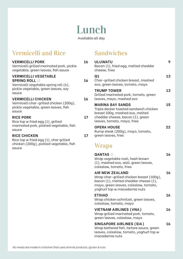## Lunch

Available all day

## Vermicelli and Rice

#### **VERMICELLI PORK 16**

| -INDIPLEELI PINN<br>Vermicelli grilled marinated pork, pickle<br>vegetable, green leaves, fish sauce                                          |    |
|-----------------------------------------------------------------------------------------------------------------------------------------------|----|
| <b>VERMICELLI VEGETABLE</b><br><b>SPRING ROLL OF</b><br>Vermicelli vegetable spring roll (6),<br>pickle vegetable, green leaves, soy<br>squce | 16 |
| <b>VERMICELLI CHICKEN</b><br>Vermicelli char-grilled chicken (200g),<br>pickle vegetable, green leaves, fish<br>sauce                         | 16 |
| <b>RICE PORK</b><br>Rice top w fried egg (1), grilled<br>marinated pork, pickled vegetable, fish<br>squce                                     | 17 |
| <b>RICE CHICKEN</b><br>Rice top w fried egg (1), char grilled<br>chicken (200g), pickled vegetable, fish<br>sauce                             | 17 |

### Sandwiches

| <b>ULUWATU</b><br>Bacon (1), fried egg, melted cheddar<br>cheese, fries                                                                                                              | 9  |
|--------------------------------------------------------------------------------------------------------------------------------------------------------------------------------------|----|
| Q <sub>1</sub><br>Char-grilled chicken breast, mashed<br>avo, green leaves, tomato, mayo                                                                                             | 13 |
| <b>TRUMP TOWER</b><br>Grilled marinated pork, tomato, green<br>leaves, mayo, mashed avo                                                                                              | 13 |
| <b>MARINA BAY SANDS</b><br>Triple decker toasted sandwich chicken<br>breast 100g, mashed avo, melted<br>cheddar cheese, bacon (1), green<br>leaves, tomato, mayo, fries              | 15 |
| <b>OPERA HOUSE</b><br>Rump steak (200g), mayo, tomato,<br>green leaves, fries<br><b>Wraps</b>                                                                                        | 22 |
| <b>QANTAS</b><br>Wrap vegetable rosti, hash brown<br>(1), mashed avo, aioli, green leaves,<br>coleslaw, tomato, fries                                                                | 16 |
| <b>AIR NEW ZEALAND</b><br>Wrap char-grilled chicken breast (100g),<br>bacon (1), melted cheddar cheese (1),<br>mayo, green leaves, coleslaw, tomato,<br>yoghurt top w macadamia nuts | 16 |
| <b>ETIHAD</b><br>Wrap chicken schnitzel, green leaves,<br>coleslaw, tomato, mayo                                                                                                     | 16 |

#### **VIETNAM AIRLINES (VNA) 16**

Wrap grilled marinated pork, tomato, green leaves, coleslaw, mayo

#### **SINGAPORE AIRLINES (SIA) 16**

Wrap battered fish, tartare sauce, green leaves, coleslaw, tomato, yoghurt top w macadamia nuts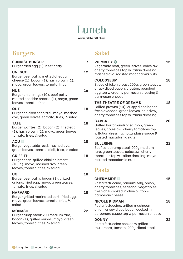## Lunch

Available all day

### Burgers

#### **SUNRISE BURGER 7**

Burger fried egg (1), beef patty

#### **UNESCO 12**

Burger beef patty, melted cheddar cheese (1), bacon (1), hash brown (1), mayo, green leaves, tomato, fries

#### **NUS 16**

Burger onion rings (10), beef patty, melted cheddar cheese (1), mayo, green leaves, tomato, fries

#### **QUT 18**

Burger chicken schnitzel, mayo, mashed avo, green leaves, tomato, fries, ½ salad

#### **TAFE 18**

Burger waffles (2), bacon (2), fried egg (1), hash brown (1), mayo, green leaves, tomato, fries, ½ salad

#### **ACU 3 18**

Burger vegetable rosti, mashed avo, green leaves, tomato, aioli, fries, ½ salad

#### **GRIFFITH 18**

Burger char-grilled chicken breast (100g), mayo, mashed avo, green leaves, tomato, fries, ½ salad

**UQ 18** Burger beef patty, bacon (1), grilled onions, fried egg, mayo, green leaves, tomato, fries, ½ salad

#### **HARVARD 18**

Burger grilled marinated pork, fried egg, mayo, green leaves, tomato, fries, ½ salad

#### **MONASH 22**

Burger rump steak 200 medium rare, bacon (1), grilled onions, mayo, green leaves, tomato, fries, ½ salad

### Salad

| <b>WEMBLEY</b><br>Vegetable rosti, green leaves, coleslaw,<br>cherry tomatoes top w Italian dressing,<br>mashed avo, roasted macadamia nuts                       | 15 |
|-------------------------------------------------------------------------------------------------------------------------------------------------------------------|----|
| <b>COLOSSEUM</b><br>Sliced chicken breast 200g, green leaves,<br>crispy diced bacon, crouton, poached<br>egg top w creamy parmesan dressing &<br>parmesan cheese  | 18 |
| THE THEATRE OF DREAMS<br>Grilled prawns (10), crispy diced bacon,<br>fresh avocado, green leaves, coleslaw,<br>cherry tomatoes top w Italian dressing             | 18 |
| <b>GABBA</b><br>Grilled barramundi or salmon, green<br>leaves, coleslaw, cherry tomatoes top<br>w Italian dressing, hollandaise sauce &<br>roasted macadamia nuts | 20 |
| <b>BULLRING</b><br>Beef salad rump steak 200g medium<br>rare, green leaves, coleslaw, cherry<br>tomatoes top w Italian dressing, mayo,<br>roasted macadamia nuts  | 22 |
| Pasta                                                                                                                                                             |    |
| <b>CHERMSIDE ®</b><br>Pasta fettuccine, haloumi 60g, onion,<br>cherry tomatoes, seasonal vegetables,<br>fresh chili cooked in olive oil top w<br>parmesan cheese  | 15 |
| <b>NICOLE KIDMAN</b><br>Pasta fettuccine, grilled mushroom,<br>onion, crispy diced bacon cooked in<br>carbonara sauce top w parmesan cheese                       | 18 |

#### **DONNY 22**

Pasta fettuccine cooked w grilled mushroom, tomato, 200g sliced steak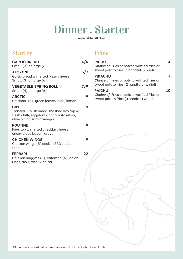## Dinner . Starter

Available all day

### Starter

#### **GARLIC BREAD 4/6** Small (3) or large (6) **ALCYONE 5/7** Garlic bread w melted pizza cheese Small (3) or large (6) **VEGETABLE SPRING ROLL @** 7/ Small (4) or large (6) **ARCTIC 9** Calamari (6), green leaves, aioli, lemon **DIPS 9** Toasted Turkish bread, mashed avo top w fresh chilli, eggplant and tomato relish, olive oil, balsamic vinegar **POUTINE 9** Fries top w melted cheddar cheese, crispy diced bacon, gravy **CHICKEN WINGS 9** Chicken wings (5) cook in BBQ sauce, fries **FERRARI 22** Chicken nuggets (6), calamari (6), onion rings, aioli, fries, ½ salad

### Fries

| 6/            | <b>PICHU</b><br>Choice of: Fries or potato waffled fries or<br>sweet potato fries (1 handful) w aioli    | 4  |
|---------------|----------------------------------------------------------------------------------------------------------|----|
| /7            | <b>PIKACHU</b><br>Choice of: Fries or potato waffled fries or<br>sweet potato fries (2 handfuls) w aioli | 7  |
| <b>9</b><br>9 | <b>RAICHU</b><br>Choice of: Fries or potato waffled fries or<br>sweet potato fries (3 handful) w aioli   | 10 |
| 9             |                                                                                                          |    |
| 9             |                                                                                                          |    |
| 9             |                                                                                                          |    |
| 22            |                                                                                                          |    |
|               |                                                                                                          |    |
|               |                                                                                                          |    |
|               |                                                                                                          |    |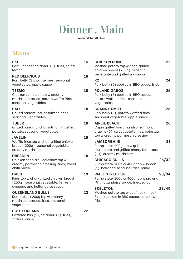## Dinner . Main

Available all day

## Mains

| S&P<br>Salt & pepper calamari (6), fries, salad,<br>lemon                                                                        | 15 | C <sub>1</sub><br>M<br>сŀ          |
|----------------------------------------------------------------------------------------------------------------------------------|----|------------------------------------|
| <b>RED DELICIOUS</b><br>Pork belly (3), waffle fries, seasonal<br>vegetables, apple sauce                                        | 18 | VE<br>R:<br>Po                     |
| <b>TEEMO</b><br>Chicken schnitzel top w creamy<br>mushroom sauce, potato waffle fries,<br>seasonal vegetables                    | 18 | R(<br>Po<br>po<br>VE               |
| <b>BALI</b><br>Grilled barramundi or salmon, fries,<br>seasonal vegetables                                                       | 18 | G<br>Po<br>se                      |
| <b>TUBER</b><br>Grilled barramundi or salmon, mashed<br>potato, seasonal vegetables                                              | 18 | $\mathsf{A}$<br>C<br>pr            |
| <b>JAVELIN</b><br>Waffle fries top w char-grilled chicken<br>breast (200g), seasonal vegetable,<br>creamy mushroom               | 18 | to<br>L/<br>Rι<br>m                |
| <b>DRESDEN</b><br>Chicken schnitzel, coleslaw top w<br>creamy parmesan dressing, fries, sweet<br>chilli mayo                     | 18 | (1)<br>C <sub>1</sub><br>Rι<br>(1) |
| <b>HASS</b><br>Fries top w char-grilled chicken breast<br>(200g), seasonal vegetable, 1/2 fresh<br>avocado and hollandaise sauce | 19 | W<br>Rι<br>(5<br>SI                |
| <b>QUEENSLAND BULLS</b><br>Rump steak 200g top w creamy<br>mushroom sauce, fries, seasonal<br>vegetables                         | 22 | M<br>8<br>fri                      |
| <b>SOUTH ISLAND</b><br>Battered fish (2), calamari (6), fries,<br>tartare sauce                                                  | 22 |                                    |

| <b>CHICKEN SONG</b><br>Mashed potato top w char-grilled<br>chicken breast (200g), seasonal<br>vegetable and grilled mushroom             | 22    |
|------------------------------------------------------------------------------------------------------------------------------------------|-------|
| R <sub>2</sub><br>Pork belly (6) cooked in BBQ sauce, fries                                                                              | 24    |
| <b>ROLAND GAROS</b><br>Pork belly (6) cooked in BBQ sauce,<br>potato waffled fries, seasonal<br>vegetables                               | 26    |
| <b>GRANNY SMITH</b><br>Pork belly (6), potato waffled fries,<br>seasonal vegetable, apple sauce                                          | 26    |
| <b>AIRLIE BEACH</b><br>Cajun grilled barramundi or salmon,<br>prawns (5), sweet potato fries, coleslaw<br>top w creamy parmesan dressing | 26    |
| <b>LAMBORGHINI</b><br>Rump steak 400g top w grilled<br>mushroom and grilled cherry tomatoes<br>(10), creamy mushroom                     | 31    |
| <b>CHICAGO BULLS</b><br>Rump steak 200g or 400g top w bacon<br>(1), hollandaise sauce, fries, salad                                      | 26/32 |
| <b>WALL STREET BULL</b><br>Rump steak 200g or 400g top w prawns<br>(5), hollandaise sauce, fries, salad                                  | 28/34 |
| <b>SKELETON</b><br>Mashed potato top w beef ribs (4 ribs/<br>8 ribs) cooked in BBQ sauce, coleslaw,<br>fries                             | 28/45 |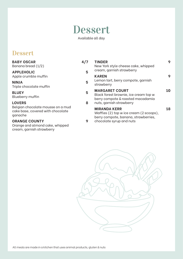## Dessert

Available all day

### Dessert

| <b>BABY OSCAR</b><br>Banana bread (1/2)                                              | 4/7 | <b>TINDER</b><br>New York style cheese cake, whipped                                                   | 9  |
|--------------------------------------------------------------------------------------|-----|--------------------------------------------------------------------------------------------------------|----|
| <b>APPLEHOLIC</b><br>Apple crumble muffin                                            | 5   | cream, garnish strawberry<br><b>KAREN</b>                                                              | 9  |
| <b>NINJA</b><br>Triple chocolate muffin                                              | 5   | Lemon tart, berry compote, garnish<br>strawberry                                                       |    |
| <b>BLUEY</b><br>Blueberry muffin                                                     | 5   | <b>MARGARET COURT</b><br>Black forest brownie, ice cream top w<br>berry compote & roasted macadamia    | 10 |
| <b>LOVERS</b>                                                                        | 8   | nuts, garnish strawberry                                                                               |    |
| Belgian chocolate mousse on a mud<br>cake base, covered with chocolate<br>ganache    |     | <b>MIRANDA KERR</b><br>Waffles (2) top w ice cream (2 scoops),<br>berry compote, banana, strawberries, | 18 |
| <b>ORANGE COUNTY</b><br>Orange and almond cake, whipped<br>cream, garnish strawberry | 9   | chocolate syrup and nuts                                                                               |    |

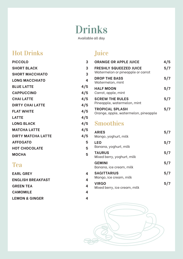# Drinks

Available all day

## Hot Drinks

| <b>PICCOLO</b>            | 3   |
|---------------------------|-----|
| <b>SHORT BLACK</b>        | 3   |
| <b>SHORT MACCHIATO</b>    | 3   |
| <b>LONG MACCHIATO</b>     | 4   |
| <b>BLUE LATTE</b>         | 4/5 |
| <b>CAPPUCCINO</b>         | 4/5 |
| <b>CHAILATTE</b>          | 4/5 |
| <b>DIRTY CHAI LATTE</b>   | 4/5 |
| <b>FLAT WHITE</b>         | 4/5 |
| <b>LATTE</b>              | 4/5 |
| <b>LONG BLACK</b>         | 4/5 |
| <b>MATCHA LATTE</b>       | 4/5 |
| <b>DIRTY MATCHA LATTE</b> | 4/5 |
| <b>AFFOGATO</b>           | 5   |
| <b>HOT CHOCOLATE</b>      | 5   |
| <b>MOCHA</b>              | 5   |

### Tea

| <b>EARL GREY</b>          | 4 |
|---------------------------|---|
| <b>ENGLISH BREAKFAST</b>  | 4 |
| <b>GREEN TEA</b>          | 4 |
| <b>CAMOMILE</b>           | 4 |
| <b>LEMON &amp; GINGER</b> | 4 |

## Juice

| <b>ORANGE OR APPLE JUICE</b>                                       | 4/5 |
|--------------------------------------------------------------------|-----|
| <b>FRESHLY SQUEEZED JUICE</b><br>Watermelon or pineapple or carrot | 5/7 |
| <b>DROP THE BASS</b><br>Watermelon, mint                           | 5/7 |
| <b>HALF MOON</b><br>Carrot, apple, mint                            | 5/7 |
| <b>SCREW THE RULES</b><br>Pineapple, watermelon, mint              | 5/7 |
| <b>TROPICAL SPLASH</b><br>Orange, apple, watermelon, pineapple     | 5/7 |
|                                                                    |     |

## Smoothies

| <b>ARIES</b><br>Mango, yoghurt, milk         | 5/7 |
|----------------------------------------------|-----|
| <b>LEO</b><br>Banana, yoghurt, milk          | 5/7 |
| <b>TAURUS</b><br>Mixed berry, yoghurt, milk  | 5/7 |
| <b>GEMINI</b><br>Banana, ice cream, milk     | 5/7 |
| <b>SAGITTARIUS</b><br>Mango, ice cream, milk | 5/7 |
| <b>VIRGO</b><br>Mixed berry, ice cream, milk | 5/7 |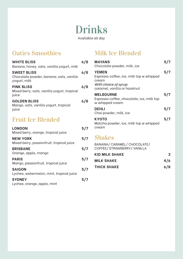## Drinks Available all day

## Oaties Smoothies

| <b>WHITE BLISS</b><br>Banana, honey, oats, vanilla yogurt, milk               | 6/8 |
|-------------------------------------------------------------------------------|-----|
| <b>SWEET BLISS</b><br>Chocolate powder, banana, oats, vanilla<br>yogurt, milk | 6/8 |
| <b>PINK BLISS</b><br>Mixed berry, oats, vanilla yogurt, tropical<br>juice     | 6/8 |
| <b>GOLDEN BLISS</b><br>Mango, oats, vanilla yogurt, tropical<br>juice         | 6/8 |
| <b>Fruit Ice Blended</b>                                                      |     |
| <b>LONDON</b>                                                                 | 5/7 |

| <b>LONDON</b><br>Mixed berry, orange, tropical juice         | 5/7 |
|--------------------------------------------------------------|-----|
| <b>NEW YORK</b><br>Mixed berry, passionfruit, tropical juice | 5/7 |
| <b>BRISBANE</b><br>Orange, apple, mango                      | 5/7 |
| <b>PARIS</b><br>Mango, passionfruit, tropical juice          | 5/7 |
| <b>SAIGON</b><br>Lychee, watermelon, mint, tropical juice    | 5/7 |
| <b>SYDNEY</b><br>Lychee, orange, apple, mint                 | 5/7 |

## Milk Ice Blended

| <b>MAYANS</b><br>Chocolate powder, milk, ice                                                                               | 5/7 |
|----------------------------------------------------------------------------------------------------------------------------|-----|
| <b>YEMEN</b><br>Espresso coffee, ice, milk top w whipped<br>cream<br>With choice of syrup:<br>caramel, vanilla or hazelnut | 5/7 |
| <b>MELBOURNE</b><br>Espresso coffee, chocolate, ice, milk top<br>w whipped cream                                           | 5/7 |
| <b>DEHLI</b><br>Chai powder, milk, ice                                                                                     | 5/7 |
| ΚΥΟΤΟ<br>Matcha powder, ice, milk top w whipped<br>cream                                                                   | 5/7 |

### Shakes

| BANANA/ CARAMEL/ CHOCOLATE/<br>COFFEE/ STRAWBERRY/ VANILLA |     |
|------------------------------------------------------------|-----|
| KID MILK SHAKE                                             | З   |
| <b>MILK SHAKE</b>                                          | 4/6 |
| <b>THICK SHAKE</b>                                         | 6/8 |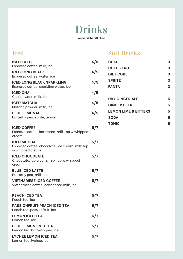## Drinks Available all day

| <b>Iced</b>                                                                             |     | <b>Soft Drinks</b>                             |        |
|-----------------------------------------------------------------------------------------|-----|------------------------------------------------|--------|
| <b>ICED LATTE</b><br>Espresso coffee, milk, ice                                         | 4/5 | <b>COKE</b>                                    | 3      |
| <b>ICED LONG BLACK</b><br>Espresso coffee, water, ice                                   | 4/5 | <b>COKE ZERO</b><br><b>DIET COKE</b>           | 3<br>3 |
| <b>ICED LONG BLACK SPARKLING</b><br>Espresso coffee, sparkling water, ice               | 4/5 | <b>SPRITE</b><br><b>FANTA</b>                  | 3<br>3 |
| <b>ICED CHAI</b><br>Chai powder, milk, ice                                              | 4/5 |                                                |        |
| <b>ICED MATCHA</b><br>Matcha powder, milk, ice                                          | 4/5 | <b>DRY GINGER ALE</b><br><b>GINGER BEER</b>    | 5<br>5 |
| <b>BLUE LEMONADE</b><br>Butterfly pea, sprite, lemon                                    | 4/5 | <b>LEMON LIME &amp; BITTERS</b><br><b>SODA</b> | 5<br>5 |
| <b>ICED COFFEE</b><br>Espresso coffee, ice cream, milk top w whipped<br>cream           | 5/7 | <b>TONIC</b>                                   | 5      |
| <b>ICED MOCHA</b><br>Espresso coffee, chocolate, ice cream, milk top<br>w whipped cream | 5/7 |                                                |        |
| <b>ICED CHOCOLATE</b><br>Chocolate, ice cream, milk top w whipped<br>cream              | 5/7 |                                                |        |
| <b>BLUE ICED LATTE</b><br>Butterfly pea, milk, ice                                      | 5/7 |                                                |        |
| <b>VIETNAMESE ICED COFFEE</b><br>Vietnamese coffee, condensed milk, ice                 | 5/7 |                                                |        |
| <b>PEACH ICED TEA</b><br>Peach tea, ice                                                 | 5/7 |                                                |        |
| <b>PASSIONFRUIT PEACH ICED TEA</b><br>Peach tea, passionfruit, ice                      | 5/7 |                                                |        |
| <b>LEMON ICED TEA</b><br>Lemon tea, ice                                                 | 5/7 |                                                |        |
| <b>BLUE LEMON ICED TEA</b><br>Lemon tea, butterfly pea, ice                             | 5/7 |                                                |        |

LYCHEE LEMON ICED TEA 5/7 Lemon tea, lychee, ice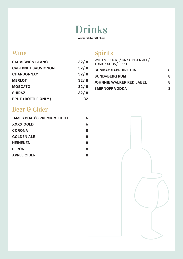## Drinks

Available all day

## Wine

### **SAUVIGNON BLANC 32/ 8 CABERNET SAUVIGNON 32/ 8 CHARDONNAY 32/ 8 MERLOT 32/ 8 MOSCATO 32/ 8 SHIRAZ 32/ 8 BRUT (BOTTLE ONLY) 32**

## Spirits

| WITH MIX COKE/ DRY GINGER ALE/<br>TONIC/SODA/SPRITE |   |
|-----------------------------------------------------|---|
| <b>BOMBAY SAPPHIRE GIN</b>                          | я |
| <b>BUNDABERG RUM</b>                                | Ջ |
| <b>JOHNNIE WALKER RED LABEL</b>                     | Ջ |
| <b>SMIRNOFF VODKA</b>                               | Я |
|                                                     |   |

### Beer & Cider

| <b>JAMES BOAG'S PREMIUM LIGHT</b> | 6 |
|-----------------------------------|---|
| XXXX GOLD                         | 6 |
| <b>CORONA</b>                     | 8 |
| <b>GOLDEN ALE</b>                 | 8 |
| <b>HEINEKEN</b>                   | 8 |
| <b>PERONI</b>                     | 8 |
| <b>APPLE CIDER</b>                | 8 |